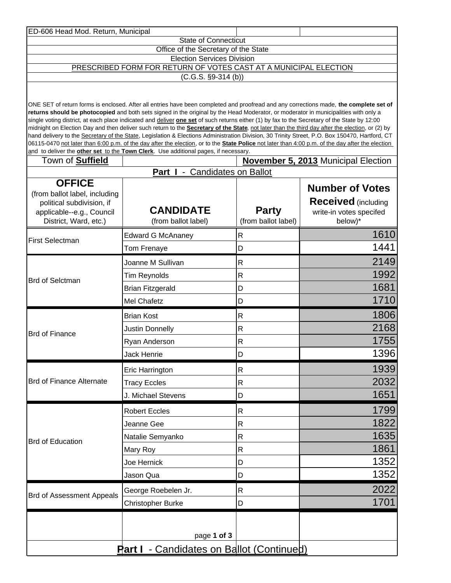| ED-606 Head Mod. Return, Municipal                                                                                                     |                                                                                                                                                                                                                                                                                                           |                                     |                                            |  |  |  |  |  |  |  |  |
|----------------------------------------------------------------------------------------------------------------------------------------|-----------------------------------------------------------------------------------------------------------------------------------------------------------------------------------------------------------------------------------------------------------------------------------------------------------|-------------------------------------|--------------------------------------------|--|--|--|--|--|--|--|--|
| <b>State of Connecticut</b>                                                                                                            |                                                                                                                                                                                                                                                                                                           |                                     |                                            |  |  |  |  |  |  |  |  |
| Office of the Secretary of the State                                                                                                   |                                                                                                                                                                                                                                                                                                           |                                     |                                            |  |  |  |  |  |  |  |  |
| <b>Election Services Division</b>                                                                                                      |                                                                                                                                                                                                                                                                                                           |                                     |                                            |  |  |  |  |  |  |  |  |
| PRESCRIBED FORM FOR RETURN OF VOTES CAST AT A MUNICIPAL ELECTION<br>$(C.G.S. §9-314(b))$                                               |                                                                                                                                                                                                                                                                                                           |                                     |                                            |  |  |  |  |  |  |  |  |
|                                                                                                                                        |                                                                                                                                                                                                                                                                                                           |                                     |                                            |  |  |  |  |  |  |  |  |
|                                                                                                                                        |                                                                                                                                                                                                                                                                                                           |                                     |                                            |  |  |  |  |  |  |  |  |
| ONE SET of return forms is enclosed. After all entries have been completed and proofread and any corrections made, the complete set of |                                                                                                                                                                                                                                                                                                           |                                     |                                            |  |  |  |  |  |  |  |  |
|                                                                                                                                        | returns should be photocopied and both sets signed in the original by the Head Moderator, or moderator in municipalities with only a<br>single voting district, at each place indicated and deliver one set of such returns either (1) by fax to the Secretary of the State by 12:00                      |                                     |                                            |  |  |  |  |  |  |  |  |
|                                                                                                                                        | midnight on Election Day and then deliver such return to the <b>Secretary of the State</b> , not later than the third day after the election, or (2) by                                                                                                                                                   |                                     |                                            |  |  |  |  |  |  |  |  |
|                                                                                                                                        | hand delivery to the Secretary of the State, Legislation & Elections Administration Division, 30 Trinity Street, P.O. Box 150470, Hartford, CT<br>06115-0470 not later than 6:00 p.m. of the day after the election, or to the <b>State Police</b> not later than 4:00 p.m. of the day after the election |                                     |                                            |  |  |  |  |  |  |  |  |
|                                                                                                                                        | and to deliver the <b>other set to the Town Clerk</b> . Use additional pages, if necessary.                                                                                                                                                                                                               |                                     |                                            |  |  |  |  |  |  |  |  |
| Town of Suffield                                                                                                                       |                                                                                                                                                                                                                                                                                                           |                                     | <b>November 5, 2013</b> Municipal Election |  |  |  |  |  |  |  |  |
|                                                                                                                                        | <b>Part I</b> - Candidates on Ballot                                                                                                                                                                                                                                                                      |                                     |                                            |  |  |  |  |  |  |  |  |
| <b>OFFICE</b><br><b>Number of Votes</b>                                                                                                |                                                                                                                                                                                                                                                                                                           |                                     |                                            |  |  |  |  |  |  |  |  |
| (from ballot label, including                                                                                                          |                                                                                                                                                                                                                                                                                                           |                                     |                                            |  |  |  |  |  |  |  |  |
| political subdivision, if                                                                                                              | <b>CANDIDATE</b>                                                                                                                                                                                                                                                                                          |                                     | <b>Received</b> (including                 |  |  |  |  |  |  |  |  |
| applicable--e.g., Council                                                                                                              |                                                                                                                                                                                                                                                                                                           | <b>Party</b><br>(from ballot label) | write-in votes specifed<br>below)*         |  |  |  |  |  |  |  |  |
| District, Ward, etc.)                                                                                                                  | (from ballot label)                                                                                                                                                                                                                                                                                       |                                     |                                            |  |  |  |  |  |  |  |  |
| <b>First Selectman</b>                                                                                                                 | <b>Edward G McAnaney</b>                                                                                                                                                                                                                                                                                  | R                                   | 1610                                       |  |  |  |  |  |  |  |  |
|                                                                                                                                        | Tom Frenaye                                                                                                                                                                                                                                                                                               | D                                   | 1441                                       |  |  |  |  |  |  |  |  |
|                                                                                                                                        | Joanne M Sullivan                                                                                                                                                                                                                                                                                         | R                                   | 2149                                       |  |  |  |  |  |  |  |  |
|                                                                                                                                        | <b>Tim Reynolds</b>                                                                                                                                                                                                                                                                                       | R                                   | 1992                                       |  |  |  |  |  |  |  |  |
| <b>Brd of Selctman</b>                                                                                                                 | <b>Brian Fitzgerald</b>                                                                                                                                                                                                                                                                                   | D                                   | 1681                                       |  |  |  |  |  |  |  |  |
|                                                                                                                                        | <b>Mel Chafetz</b>                                                                                                                                                                                                                                                                                        | D                                   | 1710                                       |  |  |  |  |  |  |  |  |
|                                                                                                                                        | <b>Brian Kost</b>                                                                                                                                                                                                                                                                                         | R                                   | 1806                                       |  |  |  |  |  |  |  |  |
|                                                                                                                                        | Justin Donnelly                                                                                                                                                                                                                                                                                           | R                                   | 2168                                       |  |  |  |  |  |  |  |  |
| <b>Brd of Finance</b>                                                                                                                  | Ryan Anderson                                                                                                                                                                                                                                                                                             | R                                   | 1755                                       |  |  |  |  |  |  |  |  |
|                                                                                                                                        | Jack Henrie                                                                                                                                                                                                                                                                                               | D                                   | 1396                                       |  |  |  |  |  |  |  |  |
|                                                                                                                                        |                                                                                                                                                                                                                                                                                                           | R                                   | 1939                                       |  |  |  |  |  |  |  |  |
| <b>Brd of Finance Alternate</b>                                                                                                        | Eric Harrington                                                                                                                                                                                                                                                                                           |                                     | 2032                                       |  |  |  |  |  |  |  |  |
|                                                                                                                                        | <b>Tracy Eccles</b>                                                                                                                                                                                                                                                                                       | R                                   |                                            |  |  |  |  |  |  |  |  |
|                                                                                                                                        | J. Michael Stevens                                                                                                                                                                                                                                                                                        | D                                   | 1651                                       |  |  |  |  |  |  |  |  |
|                                                                                                                                        | <b>Robert Eccles</b>                                                                                                                                                                                                                                                                                      | R                                   | 1799                                       |  |  |  |  |  |  |  |  |
|                                                                                                                                        | Jeanne Gee                                                                                                                                                                                                                                                                                                | R                                   | 1822                                       |  |  |  |  |  |  |  |  |
| <b>Brd of Education</b>                                                                                                                | Natalie Semyanko                                                                                                                                                                                                                                                                                          | R                                   | 1635                                       |  |  |  |  |  |  |  |  |
|                                                                                                                                        | Mary Roy                                                                                                                                                                                                                                                                                                  | R                                   | 1861                                       |  |  |  |  |  |  |  |  |
|                                                                                                                                        | Joe Hernick                                                                                                                                                                                                                                                                                               | D                                   | 1352                                       |  |  |  |  |  |  |  |  |
|                                                                                                                                        | Jason Qua                                                                                                                                                                                                                                                                                                 | D                                   | 1352                                       |  |  |  |  |  |  |  |  |
|                                                                                                                                        | George Roebelen Jr.                                                                                                                                                                                                                                                                                       | R                                   | 2022                                       |  |  |  |  |  |  |  |  |
| <b>Brd of Assessment Appeals</b>                                                                                                       | Christopher Burke                                                                                                                                                                                                                                                                                         | D                                   | 1701                                       |  |  |  |  |  |  |  |  |
|                                                                                                                                        |                                                                                                                                                                                                                                                                                                           |                                     |                                            |  |  |  |  |  |  |  |  |
|                                                                                                                                        |                                                                                                                                                                                                                                                                                                           |                                     |                                            |  |  |  |  |  |  |  |  |
|                                                                                                                                        | page 1 of 3                                                                                                                                                                                                                                                                                               |                                     |                                            |  |  |  |  |  |  |  |  |
| <b>Part I</b> - Candidates on Ballot (Continued)                                                                                       |                                                                                                                                                                                                                                                                                                           |                                     |                                            |  |  |  |  |  |  |  |  |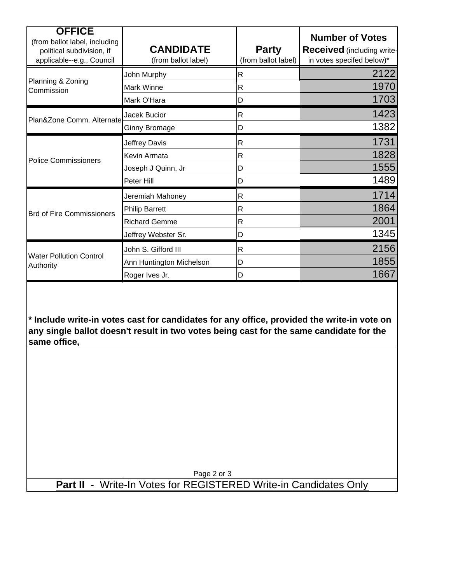| <b>OFFICE</b><br>(from ballot label, including<br>political subdivision, if<br>applicable--e.g., Council | <b>CANDIDATE</b><br>(from ballot label) | <b>Party</b><br>(from ballot label) | <b>Number of Votes</b><br><b>Received</b> (including write-<br>in votes specifed below)* |
|----------------------------------------------------------------------------------------------------------|-----------------------------------------|-------------------------------------|------------------------------------------------------------------------------------------|
|                                                                                                          | John Murphy                             | R                                   | 2122                                                                                     |
| Planning & Zoning<br>Commission                                                                          | Mark Winne                              | R                                   | 1970                                                                                     |
|                                                                                                          | Mark O'Hara                             | D                                   | 1703                                                                                     |
| Plan&Zone Comm. Alternate                                                                                | Jacek Bucior                            | R                                   | 1423                                                                                     |
|                                                                                                          | <b>Ginny Bromage</b>                    | D                                   | 1382                                                                                     |
|                                                                                                          | Jeffrey Davis                           | R                                   | 1731                                                                                     |
| <b>Police Commissioners</b>                                                                              | Kevin Armata                            | R                                   | 1828                                                                                     |
|                                                                                                          | Joseph J Quinn, Jr                      | D                                   | 1555                                                                                     |
|                                                                                                          | Peter Hill                              | D                                   | 1489                                                                                     |
|                                                                                                          | Jeremiah Mahoney                        | R                                   | 1714                                                                                     |
| <b>Brd of Fire Commissioners</b>                                                                         | <b>Philip Barrett</b>                   | R                                   | 1864                                                                                     |
|                                                                                                          | <b>Richard Gemme</b>                    | R                                   | 2001                                                                                     |
|                                                                                                          | Jeffrey Webster Sr.                     | D                                   | 1345                                                                                     |
|                                                                                                          | John S. Gifford III                     | R                                   | 2156                                                                                     |
| <b>Water Pollution Control</b><br>Authority                                                              | Ann Huntington Michelson                | D                                   | 1855                                                                                     |
|                                                                                                          | Roger Ives Jr.                          | D                                   | 1667                                                                                     |
|                                                                                                          |                                         |                                     |                                                                                          |

**\* Include write-in votes cast for candidates for any office, provided the write-in vote on any single ballot doesn't result in two votes being cast for the same candidate for the same office,**

Page 2 or 3

**Part II** - Write-In Votes for REGISTERED Write-in Candidates Only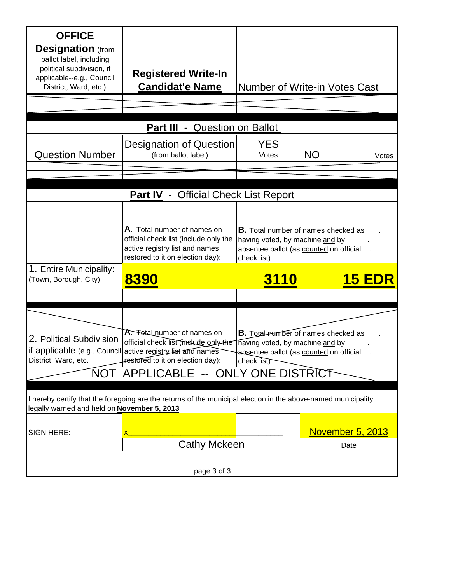| <b>OFFICE</b><br><b>Designation (from</b><br>ballot label, including<br>political subdivision, if<br>applicable--e.g., Council<br>District, Ward, etc.)              | <b>Registered Write-In</b><br><b>Candidat'e Name</b>                                                                                                                                                          |                                                                                                                                          | <b>Number of Write-in Votes Cast</b>                                                  |  |  |  |  |  |  |  |  |
|----------------------------------------------------------------------------------------------------------------------------------------------------------------------|---------------------------------------------------------------------------------------------------------------------------------------------------------------------------------------------------------------|------------------------------------------------------------------------------------------------------------------------------------------|---------------------------------------------------------------------------------------|--|--|--|--|--|--|--|--|
|                                                                                                                                                                      |                                                                                                                                                                                                               |                                                                                                                                          |                                                                                       |  |  |  |  |  |  |  |  |
| <b>Part III - Question on Ballot</b>                                                                                                                                 |                                                                                                                                                                                                               |                                                                                                                                          |                                                                                       |  |  |  |  |  |  |  |  |
| <b>Question Number</b>                                                                                                                                               | Designation of Question<br>(from ballot label)                                                                                                                                                                | <b>YES</b><br>Votes                                                                                                                      | <b>NO</b><br>Votes                                                                    |  |  |  |  |  |  |  |  |
|                                                                                                                                                                      |                                                                                                                                                                                                               |                                                                                                                                          |                                                                                       |  |  |  |  |  |  |  |  |
| <b>Part IV</b> - Official Check List Report                                                                                                                          |                                                                                                                                                                                                               |                                                                                                                                          |                                                                                       |  |  |  |  |  |  |  |  |
|                                                                                                                                                                      | A. Total number of names on<br>official check list (include only the<br>active registry list and names<br>restored to it on election day):                                                                    | <b>B.</b> Total number of names checked as<br>having voted, by machine and by<br>absentee ballot (as counted on official<br>check list): |                                                                                       |  |  |  |  |  |  |  |  |
| 1. Entire Municipality:<br>(Town, Borough, City)                                                                                                                     | 8390                                                                                                                                                                                                          | <u>3110</u>                                                                                                                              | <u> 15 EDR</u>                                                                        |  |  |  |  |  |  |  |  |
|                                                                                                                                                                      |                                                                                                                                                                                                               |                                                                                                                                          |                                                                                       |  |  |  |  |  |  |  |  |
| 2. Political Subdivision<br>District, Ward, etc.                                                                                                                     | A. FetaLnumber of names on<br>official check list (include only the<br>if applicable (e.g., Council active registry list and names<br>restored to it on election day):<br>NOT APPLICABLE -- ONLY ONE DISTRICT | having voted, by machine and by<br>check list):                                                                                          | <b>B.</b> Total number of names checked as<br>absentee ballot (as counted on official |  |  |  |  |  |  |  |  |
|                                                                                                                                                                      |                                                                                                                                                                                                               |                                                                                                                                          |                                                                                       |  |  |  |  |  |  |  |  |
| I hereby certify that the foregoing are the returns of the municipal election in the above-named municipality,<br>legally warned and held on <b>November 5, 2013</b> |                                                                                                                                                                                                               |                                                                                                                                          |                                                                                       |  |  |  |  |  |  |  |  |
| <b>SIGN HERE:</b>                                                                                                                                                    |                                                                                                                                                                                                               |                                                                                                                                          | November 5, 2013                                                                      |  |  |  |  |  |  |  |  |
|                                                                                                                                                                      | <b>Cathy Mckeen</b>                                                                                                                                                                                           |                                                                                                                                          | Date                                                                                  |  |  |  |  |  |  |  |  |
| page 3 of 3                                                                                                                                                          |                                                                                                                                                                                                               |                                                                                                                                          |                                                                                       |  |  |  |  |  |  |  |  |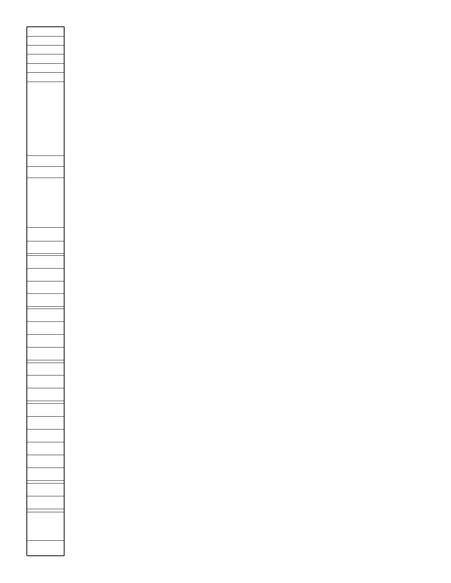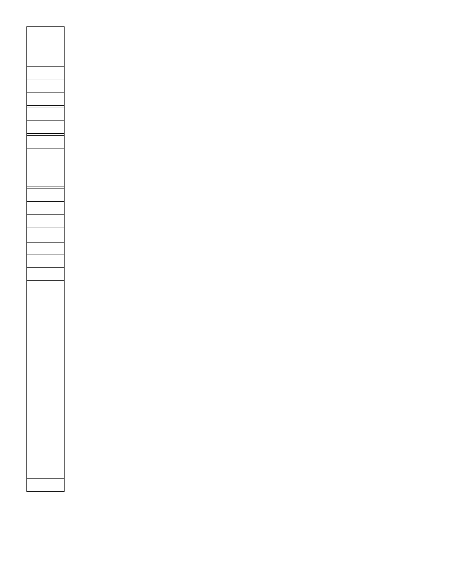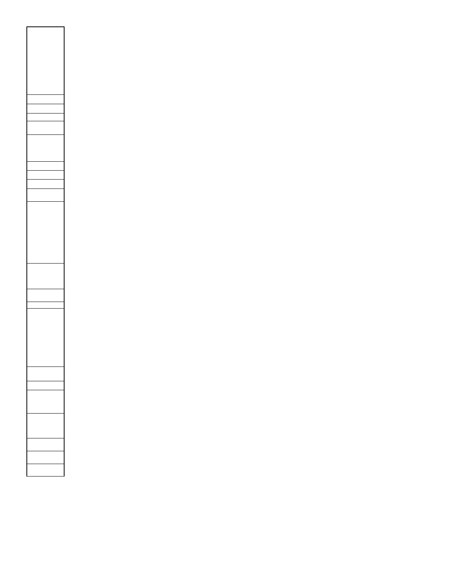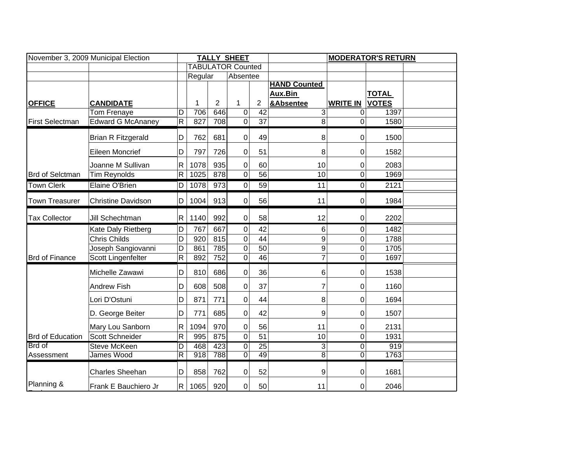| November 3, 2009 Municipal Election |                           |                         |         |                  | <b>TALLY SHEET</b>       |                 |                     | <b>MODERATOR'S RETURN</b> |              |  |
|-------------------------------------|---------------------------|-------------------------|---------|------------------|--------------------------|-----------------|---------------------|---------------------------|--------------|--|
|                                     |                           |                         |         |                  | <b>TABULATOR Counted</b> |                 |                     |                           |              |  |
|                                     |                           |                         | Regular |                  | Absentee                 |                 |                     |                           |              |  |
|                                     |                           |                         |         |                  |                          |                 | <b>HAND Counted</b> |                           |              |  |
|                                     |                           |                         |         |                  |                          |                 | Aux.Bin             |                           | <b>TOTAL</b> |  |
| <b>OFFICE</b>                       | <b>CANDIDATE</b>          |                         | 1       | $\overline{2}$   | 1                        | $\overline{2}$  | &Absentee           | <b>WRITE IN</b>           | <b>VOTES</b> |  |
|                                     | Tom Frenaye               | D                       | 706     | 646              | $\boldsymbol{0}$         | 42              | 3                   | 0                         | 1397         |  |
| <b>First Selectman</b>              | <b>Edward G McAnaney</b>  | $\overline{R}$          | 827     | 708              | $\overline{\mathsf{o}}$  | $\overline{37}$ | 8                   | $\Omega$                  | 1580         |  |
|                                     | <b>Brian R Fitzgerald</b> | D                       | 762     | 681              | 0                        | 49              | 8                   | $\mathbf 0$               | 1500         |  |
|                                     | Eileen Moncrief           | D                       | 797     | 726              | 0                        | 51              | 8                   | 0                         | 1582         |  |
|                                     | Joanne M Sullivan         | R                       | 1078    | 935              | 0                        | 60              | 10                  | $\mathbf 0$               | 2083         |  |
| <b>Brd of Selctman</b>              | <b>Tim Reynolds</b>       | $\overline{R}$          | 1025    | 878              | 0                        | $\overline{56}$ | 10                  | $\mathbf 0$               | 1969         |  |
| <b>Town Clerk</b>                   | <b>Elaine O'Brien</b>     | D                       | 1078    | 973              | $\boldsymbol{0}$         | 59              | 11                  | $\pmb{0}$                 | 2121         |  |
| <b>Town Treasurer</b>               | <b>Christine Davidson</b> | D                       | 1004    | 913              | 0                        | 56              | 11                  | 0                         | 1984         |  |
| <b>Tax Collector</b>                | Jill Schechtman           | R.                      | 1140    | 992              | 0                        | 58              | 12                  | $\mathbf 0$               | 2202         |  |
|                                     | Kate Daly Rietberg        | D                       | 767     | 667              | 0                        | 42              | 6                   | $\mathbf 0$               | 1482         |  |
|                                     | <b>Chris Childs</b>       | D                       | 920     | 815              | 0                        | 44              | 9                   | $\mathbf 0$               | 1788         |  |
|                                     | Joseph Sangiovanni        | D                       | 861     | 785              | 0                        | 50              | 9                   | $\mathbf 0$               | 1705         |  |
| <b>Brd of Finance</b>               | Scott Lingenfelter        | R                       | 892     | $\overline{752}$ | 0                        | 46              | $\overline{7}$      | $\mathbf 0$               | 1697         |  |
|                                     | Michelle Zawawi           | D                       | 810     | 686              | 0                        | 36              | 6                   | 0                         | 1538         |  |
|                                     | <b>Andrew Fish</b>        | D                       | 608     | 508              | 0                        | 37              | $\overline{7}$      | $\mathbf 0$               | 1160         |  |
|                                     | Lori D'Ostuni             | D                       | 871     | 771              | 0                        | 44              | 8                   | 0                         | 1694         |  |
|                                     | D. George Beiter          | D                       | 771     | 685              | 0                        | 42              | 9                   | $\Omega$                  | 1507         |  |
|                                     | Mary Lou Sanborn          | R                       | 1094    | 970              | 0                        | 56              | 11                  | 0                         | 2131         |  |
| <b>Brd of Education</b>             | Scott Schneider           | R                       | 995     | 875              | 0                        | 51              | 10                  | $\Omega$                  | 1931         |  |
| Brd of                              | <b>Steve McKeen</b>       | $\overline{\mathsf{D}}$ | 468     | 423              | $\overline{\mathsf{o}}$  | 25              | 3                   | $\mathbf 0$               | 919          |  |
| Assessment                          | <b>James Wood</b>         | $\overline{\mathsf{R}}$ | 918     | 788              | $\overline{0}$           | 49              | 8                   | $\overline{0}$            | 1763         |  |
|                                     | <b>Charles Sheehan</b>    | D                       | 858     | 762              | 0                        | 52              | 9                   | 0                         | 1681         |  |
| Planning &                          | Frank E Bauchiero Jr      | R.                      | 1065    | 920              | 0                        | 50              | 11                  | 0                         | 2046         |  |